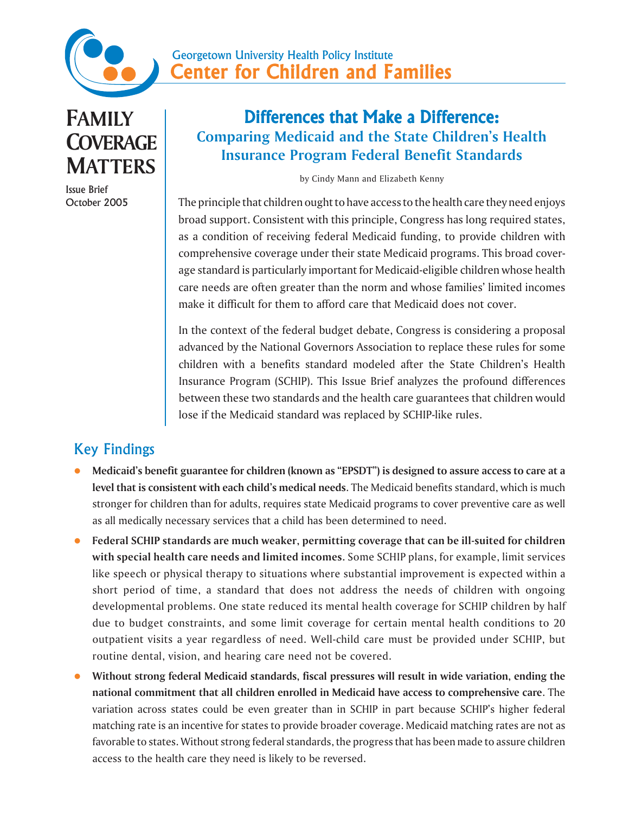

**FAMILY COVERAGE MATTERS**

Issue Brief October 2005

# Differences that Make a Difference: **Comparing Medicaid and the State Children's Health Insurance Program Federal Benefit Standards**

by Cindy Mann and Elizabeth Kenny

The principle that children ought to have access to the health care they need enjoys broad support. Consistent with this principle, Congress has long required states, as a condition of receiving federal Medicaid funding, to provide children with comprehensive coverage under their state Medicaid programs. This broad coverage standard is particularly important for Medicaid-eligible children whose health care needs are often greater than the norm and whose families' limited incomes make it difficult for them to afford care that Medicaid does not cover.

In the context of the federal budget debate, Congress is considering a proposal advanced by the National Governors Association to replace these rules for some children with a benefits standard modeled after the State Children's Health Insurance Program (SCHIP). This Issue Brief analyzes the profound differences between these two standards and the health care guarantees that children would lose if the Medicaid standard was replaced by SCHIP-like rules.

# Key Findings

- z **Medicaid's benefit guarantee for children (known as "EPSDT") is designed to assure access to care at a level that is consistent with each child's medical needs**. The Medicaid benefits standard, which is much stronger for children than for adults, requires state Medicaid programs to cover preventive care as well as all medically necessary services that a child has been determined to need.
- z **Federal SCHIP standards are much weaker, permitting coverage that can be ill-suited for children with special health care needs and limited incomes.** Some SCHIP plans, for example, limit services like speech or physical therapy to situations where substantial improvement is expected within a short period of time, a standard that does not address the needs of children with ongoing developmental problems. One state reduced its mental health coverage for SCHIP children by half due to budget constraints, and some limit coverage for certain mental health conditions to 20 outpatient visits a year regardless of need. Well-child care must be provided under SCHIP, but routine dental, vision, and hearing care need not be covered.
- Without strong federal Medicaid standards, fiscal pressures will result in wide variation, ending the **national commitment that all children enrolled in Medicaid have access to comprehensive care**. The variation across states could be even greater than in SCHIP in part because SCHIP's higher federal matching rate is an incentive for states to provide broader coverage. Medicaid matching rates are not as favorable to states. Without strong federal standards, the progress that has been made to assure children access to the health care they need is likely to be reversed.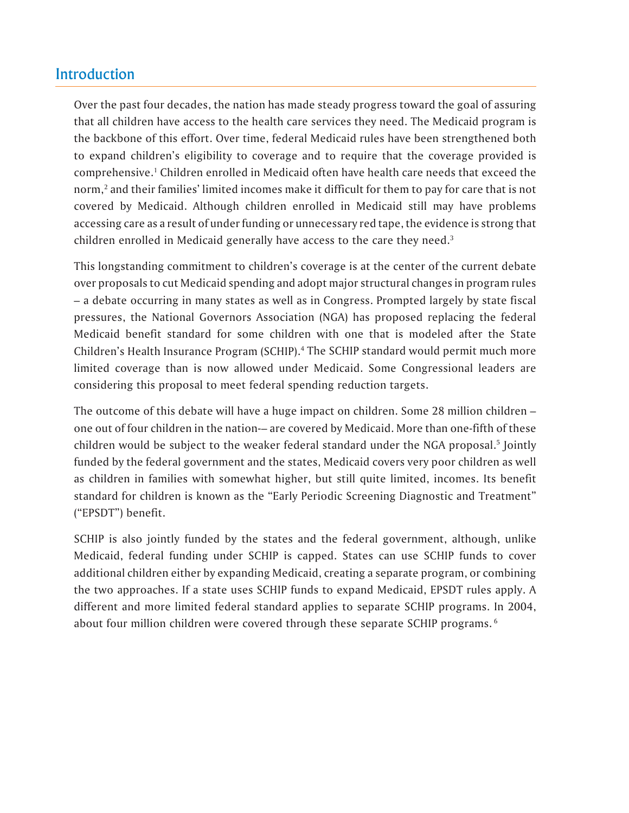## Introduction

Over the past four decades, the nation has made steady progress toward the goal of assuring that all children have access to the health care services they need. The Medicaid program is the backbone of this effort. Over time, federal Medicaid rules have been strengthened both to expand children's eligibility to coverage and to require that the coverage provided is comprehensive.<sup>1</sup> Children enrolled in Medicaid often have health care needs that exceed the norm, $^2$  and their families' limited incomes make it difficult for them to pay for care that is not covered by Medicaid. Although children enrolled in Medicaid still may have problems accessing care as a result of under funding or unnecessary red tape, the evidence is strong that children enrolled in Medicaid generally have access to the care they need.<sup>3</sup>

This longstanding commitment to children's coverage is at the center of the current debate over proposals to cut Medicaid spending and adopt major structural changes in program rules – a debate occurring in many states as well as in Congress. Prompted largely by state fiscal pressures, the National Governors Association (NGA) has proposed replacing the federal Medicaid benefit standard for some children with one that is modeled after the State Children's Health Insurance Program (SCHIP).<sup>4</sup> The SCHIP standard would permit much more limited coverage than is now allowed under Medicaid. Some Congressional leaders are considering this proposal to meet federal spending reduction targets.

The outcome of this debate will have a huge impact on children. Some 28 million children – one out of four children in the nation-– are covered by Medicaid. More than one-fifth of these children would be subject to the weaker federal standard under the NGA proposal.<sup>5</sup> Jointly funded by the federal government and the states, Medicaid covers very poor children as well as children in families with somewhat higher, but still quite limited, incomes. Its benefit standard for children is known as the "Early Periodic Screening Diagnostic and Treatment" ("EPSDT") benefit.

SCHIP is also jointly funded by the states and the federal government, although, unlike Medicaid, federal funding under SCHIP is capped. States can use SCHIP funds to cover additional children either by expanding Medicaid, creating a separate program, or combining the two approaches. If a state uses SCHIP funds to expand Medicaid, EPSDT rules apply. A different and more limited federal standard applies to separate SCHIP programs. In 2004, about four million children were covered through these separate SCHIP programs. 6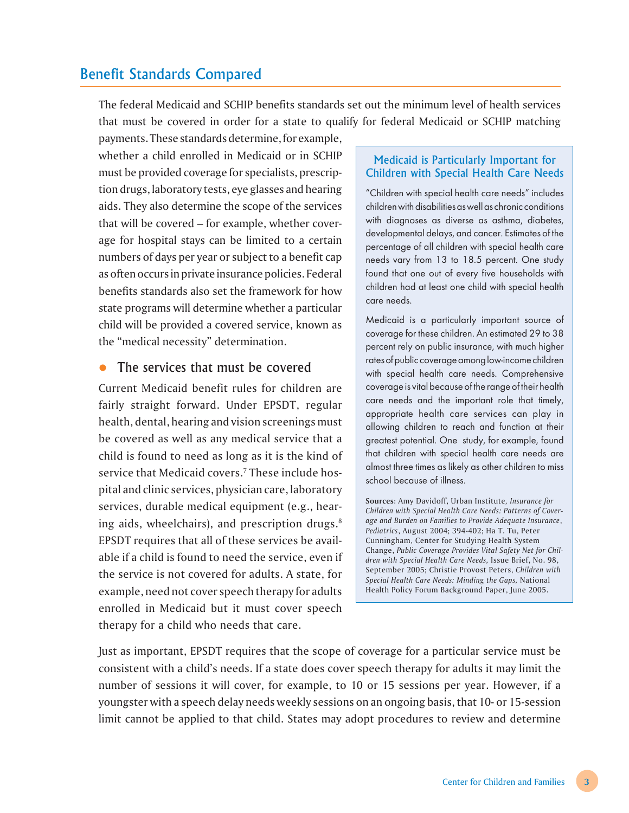### Benefit Standards Compared

The federal Medicaid and SCHIP benefits standards set out the minimum level of health services that must be covered in order for a state to qualify for federal Medicaid or SCHIP matching

payments. These standards determine, for example, whether a child enrolled in Medicaid or in SCHIP must be provided coverage for specialists, prescription drugs, laboratory tests, eye glasses and hearing aids. They also determine the scope of the services that will be covered – for example, whether coverage for hospital stays can be limited to a certain numbers of days per year or subject to a benefit cap as often occurs in private insurance policies. Federal benefits standards also set the framework for how state programs will determine whether a particular child will be provided a covered service, known as the "medical necessity" determination.

### The services that must be covered

Current Medicaid benefit rules for children are fairly straight forward. Under EPSDT, regular health, dental, hearing and vision screenings must be covered as well as any medical service that a child is found to need as long as it is the kind of service that Medicaid covers.7 These include hospital and clinic services, physician care, laboratory services, durable medical equipment (e.g., hearing aids, wheelchairs), and prescription drugs.<sup>8</sup> EPSDT requires that all of these services be available if a child is found to need the service, even if the service is not covered for adults. A state, for example, need not cover speech therapy for adults enrolled in Medicaid but it must cover speech therapy for a child who needs that care.

#### Medicaid is Particularly Important for Children with Special Health Care Needs

"Children with special health care needs" includes children with disabilities as well as chronic conditions with diagnoses as diverse as asthma, diabetes, developmental delays, and cancer. Estimates of the percentage of all children with special health care needs vary from 13 to 18.5 percent. One study found that one out of every five households with children had at least one child with special health care needs.

Medicaid is a particularly important source of coverage for these children. An estimated 29 to 38 percent rely on public insurance, with much higher rates of public coverage among low-income children with special health care needs. Comprehensive coverage is vital because of the range of their health care needs and the important role that timely, appropriate health care services can play in allowing children to reach and function at their greatest potential. One study, for example, found that children with special health care needs are almost three times as likely as other children to miss school because of illness.

**Sources**: Amy Davidoff, Urban Institute*, Insurance for Children with Special Health Care Needs: Patterns of Coverage and Burden on Families to Provide Adequate Insurance*, *Pediatrics*, August 2004; 394-402; Ha T. Tu, Peter Cunningham, Center for Studying Health System Change, *Public Coverage Provides Vital Safety Net for Children with Special Health Care Needs,* Issue Brief, No. 98, September 2005; Christie Provost Peters, *Children with Special Health Care Needs: Minding the Gaps,* National Health Policy Forum Background Paper, June 2005.

Just as important, EPSDT requires that the scope of coverage for a particular service must be consistent with a child's needs. If a state does cover speech therapy for adults it may limit the number of sessions it will cover, for example, to 10 or 15 sessions per year. However, if a youngster with a speech delay needs weekly sessions on an ongoing basis, that 10- or 15-session limit cannot be applied to that child. States may adopt procedures to review and determine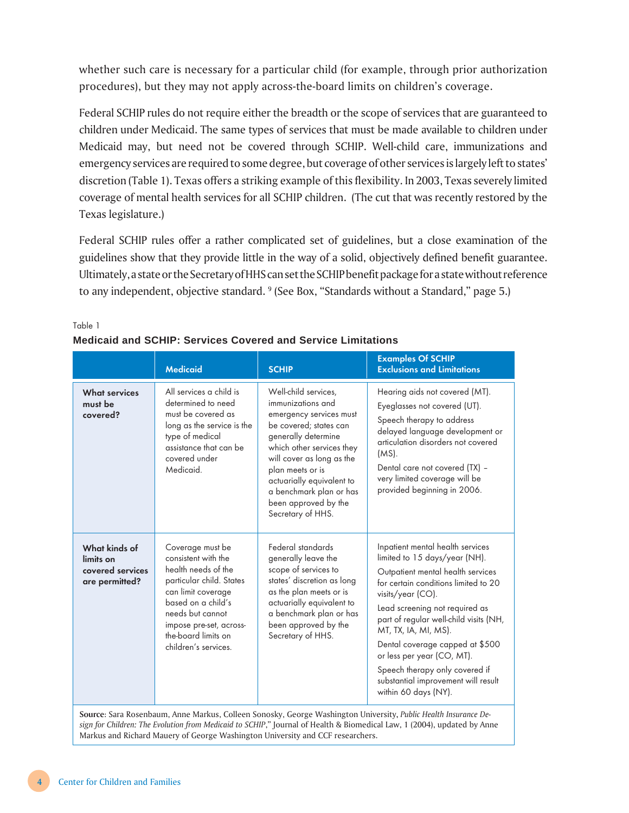whether such care is necessary for a particular child (for example, through prior authorization procedures), but they may not apply across-the-board limits on children's coverage.

Federal SCHIP rules do not require either the breadth or the scope of services that are guaranteed to children under Medicaid. The same types of services that must be made available to children under Medicaid may, but need not be covered through SCHIP. Well-child care, immunizations and emergency services are required to some degree, but coverage of other services is largely left to states' discretion (Table 1). Texas offers a striking example of this flexibility. In 2003, Texas severely limited coverage of mental health services for all SCHIP children. (The cut that was recently restored by the Texas legislature.)

Federal SCHIP rules offer a rather complicated set of guidelines, but a close examination of the guidelines show that they provide little in the way of a solid, objectively defined benefit guarantee. Ultimately, a state or the Secretary of HHS can set the SCHIP benefit package for a state without reference to any independent, objective standard. <sup>9</sup> (See Box, "Standards without a Standard," page 5.)

|                                                                  | <b>Medicaid</b>                                                                                                                                                                                                                      | <b>SCHIP</b>                                                                                                                                                                                                                                                                                             | <b>Examples Of SCHIP</b><br><b>Exclusions and Limitations</b>                                                                                                                                                                                                                                                                                                                                                                             |
|------------------------------------------------------------------|--------------------------------------------------------------------------------------------------------------------------------------------------------------------------------------------------------------------------------------|----------------------------------------------------------------------------------------------------------------------------------------------------------------------------------------------------------------------------------------------------------------------------------------------------------|-------------------------------------------------------------------------------------------------------------------------------------------------------------------------------------------------------------------------------------------------------------------------------------------------------------------------------------------------------------------------------------------------------------------------------------------|
| <b>What services</b><br>must be<br>covered?                      | All services a child is<br>determined to need<br>must be covered as<br>long as the service is the<br>type of medical<br>assistance that can be<br>covered under<br>Medicaid.                                                         | Well-child services,<br>immunizations and<br>emergency services must<br>be covered; states can<br>generally determine<br>which other services they<br>will cover as long as the<br>plan meets or is<br>actuarially equivalent to<br>a benchmark plan or has<br>been approved by the<br>Secretary of HHS. | Hearing aids not covered (MT).<br>Eyeglasses not covered (UT).<br>Speech therapy to address<br>delayed language development or<br>articulation disorders not covered<br>$(MS)$ .<br>Dental care not covered (TX) -<br>very limited coverage will be<br>provided beginning in 2006.                                                                                                                                                        |
| What kinds of<br>limits on<br>covered services<br>are permitted? | Coverage must be<br>consistent with the<br>health needs of the<br>particular child. States<br>can limit coverage<br>based on a child's<br>needs but cannot<br>impose pre-set, across-<br>the-board limits on<br>children's services. | Federal standards<br>generally leave the<br>scope of services to<br>states' discretion as long<br>as the plan meets or is<br>actuarially equivalent to<br>a benchmark plan or has<br>been approved by the<br>Secretary of HHS.                                                                           | Inpatient mental health services<br>limited to 15 days/year (NH).<br>Outpatient mental health services<br>for certain conditions limited to 20<br>visits/year (CO).<br>Lead screening not required as<br>part of regular well-child visits (NH,<br>MT, TX, IA, MI, MS).<br>Dental coverage capped at \$500<br>or less per year (CO, MT).<br>Speech therapy only covered if<br>substantial improvement will result<br>within 60 days (NY). |

#### Table 1 **Medicaid and SCHIP: Services Covered and Service Limitations**

*sign for Children: The Evolution from Medicaid to SCHIP*," Journal of Health & Biomedical Law, 1 (2004), updated by Anne Markus and Richard Mauery of George Washington University and CCF researchers.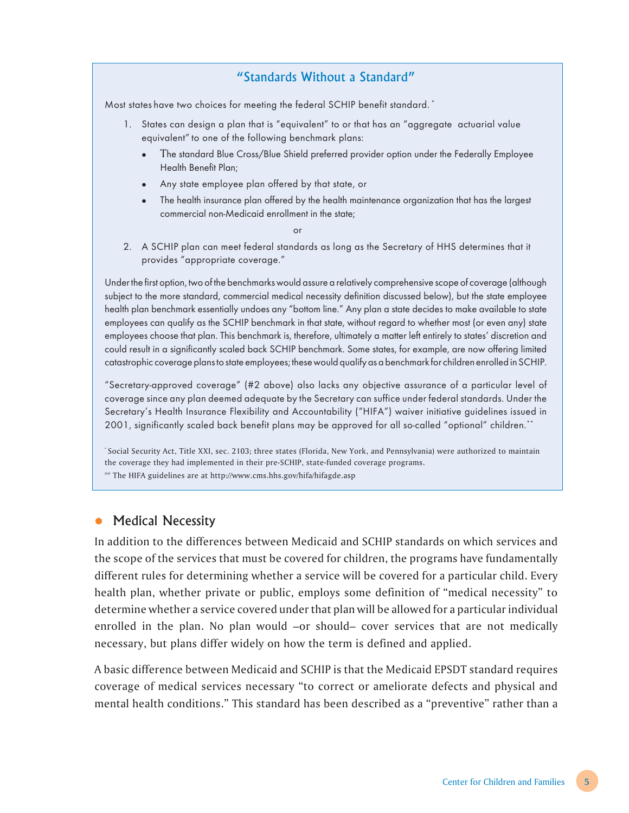### "Standards Without a Standard"

Most states have two choices for meeting the federal SCHIP benefit standard. \*

- 1. States can design a plan that is "equivalent" to or that has an "aggregate actuarial value equivalent" to one of the following benchmark plans:
	- The standard Blue Cross/Blue Shield preferred provider option under the Federally Employee Health Benefit Plan;
	- Any state employee plan offered by that state, or
	- The health insurance plan offered by the health maintenance organization that has the largest commercial non-Medicaid enrollment in the state;

or

2. A SCHIP plan can meet federal standards as long as the Secretary of HHS determines that it provides "appropriate coverage."

Under the first option, two of the benchmarks would assure a relatively comprehensive scope of coverage (although subject to the more standard, commercial medical necessity definition discussed below), but the state employee health plan benchmark essentially undoes any "bottom line." Any plan a state decides to make available to state employees can qualify as the SCHIP benchmark in that state, without regard to whether most (or even any) state employees choose that plan. This benchmark is, therefore, ultimately a matter left entirely to states' discretion and could result in a significantly scaled back SCHIP benchmark. Some states, for example, are now offering limited catastrophic coverage plans to state employees; these would qualify as a benchmark for children enrolled in SCHIP.

"Secretary-approved coverage" (#2 above) also lacks any objective assurance of a particular level of coverage since any plan deemed adequate by the Secretary can suffice under federal standards. Under the Secretary's Health Insurance Flexibility and Accountability ("HIFA") waiver initiative guidelines issued in 2001, significantly scaled back benefit plans may be approved for all so-called "optional" children.\*\*

\* Social Security Act, Title XXI, sec. 2103; three states (Florida, New York, and Pennsylvania) were authorized to maintain the coverage they had implemented in their pre-SCHIP, state-funded coverage programs.

\*\* The HIFA guidelines are at http://www.cms.hhs.gov/hifa/hifagde.asp

### • Medical Necessity

In addition to the differences between Medicaid and SCHIP standards on which services and the scope of the services that must be covered for children, the programs have fundamentally different rules for determining whether a service will be covered for a particular child. Every health plan, whether private or public, employs some definition of "medical necessity" to determine whether a service covered under that plan will be allowed for a particular individual enrolled in the plan. No plan would –or should– cover services that are not medically necessary, but plans differ widely on how the term is defined and applied.

A basic difference between Medicaid and SCHIP is that the Medicaid EPSDT standard requires coverage of medical services necessary "to correct or ameliorate defects and physical and mental health conditions." This standard has been described as a "preventive" rather than a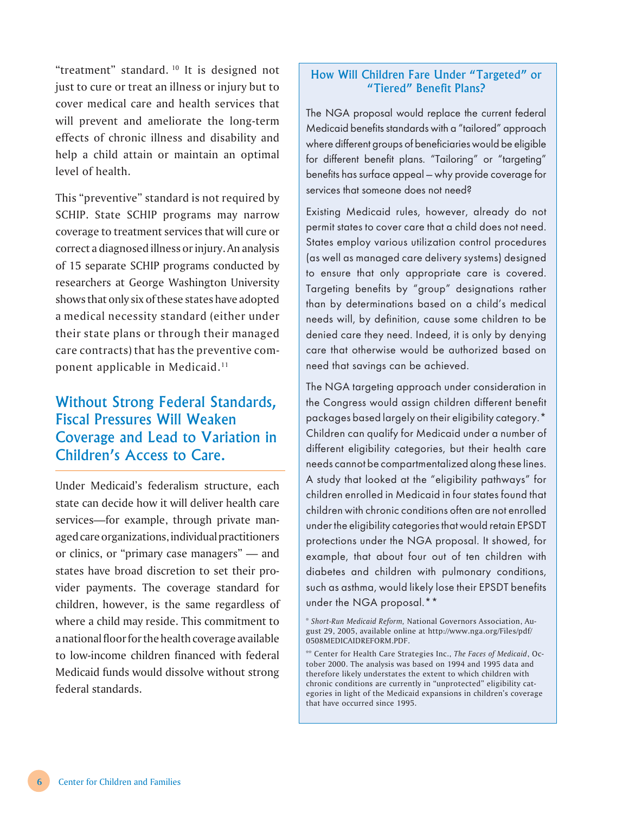"treatment" standard. 10 It is designed not just to cure or treat an illness or injury but to cover medical care and health services that will prevent and ameliorate the long-term effects of chronic illness and disability and help a child attain or maintain an optimal level of health.

This "preventive" standard is not required by SCHIP. State SCHIP programs may narrow coverage to treatment services that will cure or correct a diagnosed illness or injury. An analysis of 15 separate SCHIP programs conducted by researchers at George Washington University shows that only six of these states have adopted a medical necessity standard (either under their state plans or through their managed care contracts) that has the preventive component applicable in Medicaid.11

## Without Strong Federal Standards, Fiscal Pressures Will Weaken Coverage and Lead to Variation in Children's Access to Care.

Under Medicaid's federalism structure, each state can decide how it will deliver health care services—for example, through private managed care organizations, individual practitioners or clinics, or "primary case managers" — and states have broad discretion to set their provider payments. The coverage standard for children, however, is the same regardless of where a child may reside. This commitment to a national floor for the health coverage available to low-income children financed with federal Medicaid funds would dissolve without strong federal standards.

#### How Will Children Fare Under "Targeted" or "Tiered" Benefit Plans?

The NGA proposal would replace the current federal Medicaid benefits standards with a "tailored" approach where different groups of beneficiaries would be eligible for different benefit plans. "Tailoring" or "targeting" benefits has surface appeal — why provide coverage for services that someone does not need?

Existing Medicaid rules, however, already do not permit states to cover care that a child does not need. States employ various utilization control procedures (as well as managed care delivery systems) designed to ensure that only appropriate care is covered. Targeting benefits by "group" designations rather than by determinations based on a child's medical needs will, by definition, cause some children to be denied care they need. Indeed, it is only by denying care that otherwise would be authorized based on need that savings can be achieved.

The NGA targeting approach under consideration in the Congress would assign children different benefit packages based largely on their eligibility category.\* Children can qualify for Medicaid under a number of different eligibility categories, but their health care needs cannot be compartmentalized along these lines. A study that looked at the "eligibility pathways" for children enrolled in Medicaid in four states found that children with chronic conditions often are not enrolled under the eligibility categories that would retain EPSDT protections under the NGA proposal. It showed, for example, that about four out of ten children with diabetes and children with pulmonary conditions, such as asthma, would likely lose their EPSDT benefits under the NGA proposal.\*\*

<sup>\*</sup> *Short-Run Medicaid Reform,* National Governors Association, August 29, 2005, available online at http://www.nga.org/Files/pdf/ 0508MEDICAIDREFORM.PDF.

<sup>\*\*</sup> Center for Health Care Strategies Inc., *The Faces of Medicaid*, October 2000. The analysis was based on 1994 and 1995 data and therefore likely understates the extent to which children with chronic conditions are currently in "unprotected" eligibility categories in light of the Medicaid expansions in children's coverage that have occurred since 1995.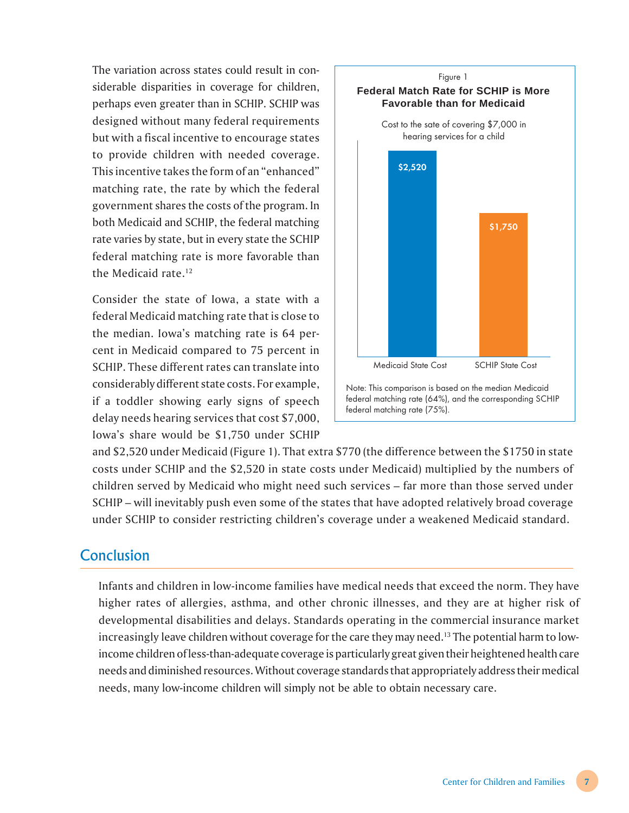The variation across states could result in considerable disparities in coverage for children, perhaps even greater than in SCHIP. SCHIP was designed without many federal requirements but with a fiscal incentive to encourage states to provide children with needed coverage. This incentive takes the form of an "enhanced" matching rate, the rate by which the federal government shares the costs of the program. In both Medicaid and SCHIP, the federal matching rate varies by state, but in every state the SCHIP federal matching rate is more favorable than the Medicaid rate.12

Consider the state of Iowa, a state with a federal Medicaid matching rate that is close to the median. Iowa's matching rate is 64 percent in Medicaid compared to 75 percent in SCHIP. These different rates can translate into considerably different state costs. For example, if a toddler showing early signs of speech delay needs hearing services that cost \$7,000, Iowa's share would be \$1,750 under SCHIP



and \$2,520 under Medicaid (Figure 1). That extra \$770 (the difference between the \$1750 in state costs under SCHIP and the \$2,520 in state costs under Medicaid) multiplied by the numbers of children served by Medicaid who might need such services – far more than those served under SCHIP – will inevitably push even some of the states that have adopted relatively broad coverage under SCHIP to consider restricting children's coverage under a weakened Medicaid standard.

## Conclusion

Infants and children in low-income families have medical needs that exceed the norm. They have higher rates of allergies, asthma, and other chronic illnesses, and they are at higher risk of developmental disabilities and delays. Standards operating in the commercial insurance market increasingly leave children without coverage for the care they may need.<sup>13</sup> The potential harm to lowincome children of less-than-adequate coverage is particularly great given their heightened health care needs and diminished resources. Without coverage standards that appropriately address their medical needs, many low-income children will simply not be able to obtain necessary care.